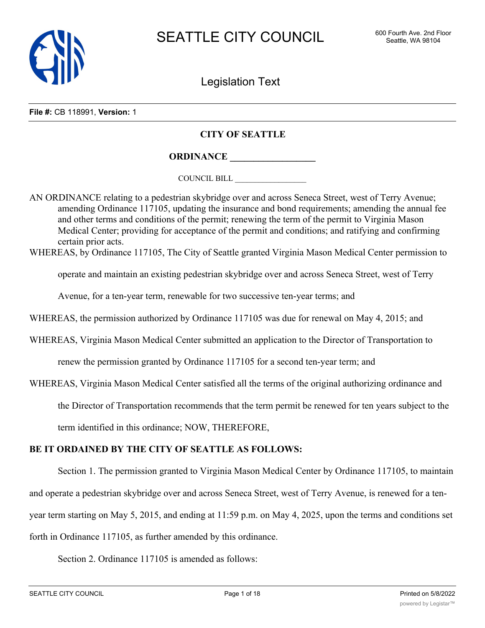

Legislation Text

#### **File #:** CB 118991, **Version:** 1

### **CITY OF SEATTLE**

**ORDINANCE \_\_\_\_\_\_\_\_\_\_\_\_\_\_\_\_\_\_**

COUNCIL BILL \_\_\_\_\_\_\_\_\_\_\_\_\_\_\_\_\_\_

AN ORDINANCE relating to a pedestrian skybridge over and across Seneca Street, west of Terry Avenue; amending Ordinance 117105, updating the insurance and bond requirements; amending the annual fee and other terms and conditions of the permit; renewing the term of the permit to Virginia Mason Medical Center; providing for acceptance of the permit and conditions; and ratifying and confirming certain prior acts.

WHEREAS, by Ordinance 117105, The City of Seattle granted Virginia Mason Medical Center permission to

operate and maintain an existing pedestrian skybridge over and across Seneca Street, west of Terry

Avenue, for a ten-year term, renewable for two successive ten-year terms; and

WHEREAS, the permission authorized by Ordinance 117105 was due for renewal on May 4, 2015; and

WHEREAS, Virginia Mason Medical Center submitted an application to the Director of Transportation to

renew the permission granted by Ordinance 117105 for a second ten-year term; and

WHEREAS, Virginia Mason Medical Center satisfied all the terms of the original authorizing ordinance and

the Director of Transportation recommends that the term permit be renewed for ten years subject to the

term identified in this ordinance; NOW, THEREFORE,

## **BE IT ORDAINED BY THE CITY OF SEATTLE AS FOLLOWS:**

Section 1. The permission granted to Virginia Mason Medical Center by Ordinance 117105, to maintain and operate a pedestrian skybridge over and across Seneca Street, west of Terry Avenue, is renewed for a tenyear term starting on May 5, 2015, and ending at 11:59 p.m. on May 4, 2025, upon the terms and conditions set forth in Ordinance 117105, as further amended by this ordinance.

Section 2. Ordinance 117105 is amended as follows: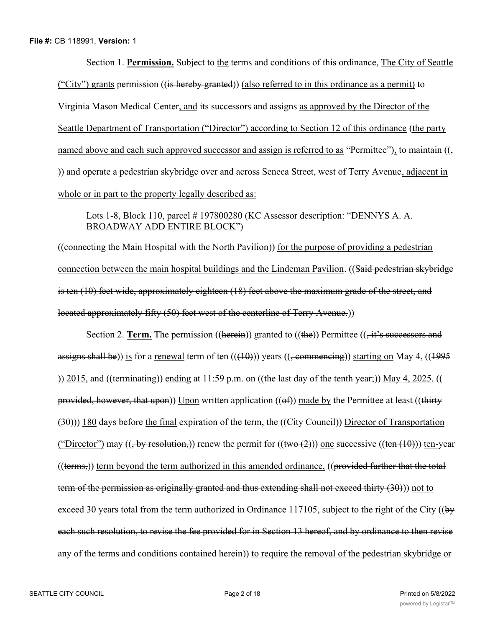Section 1. **Permission.** Subject to the terms and conditions of this ordinance, The City of Seattle ("City") grants permission ((is hereby granted)) (also referred to in this ordinance as a permit) to Virginia Mason Medical Center, and its successors and assigns as approved by the Director of the Seattle Department of Transportation ("Director") according to Section 12 of this ordinance (the party named above and each such approved successor and assign is referred to as "Permittee"), to maintain  $((\frac{1}{2} \times \frac{1}{2})$ )) and operate a pedestrian skybridge over and across Seneca Street, west of Terry Avenue, adjacent in whole or in part to the property legally described as:

# Lots 1-8, Block 110, parcel # 197800280 (KC Assessor description: "DENNYS A. A. BROADWAY ADD ENTIRE BLOCK")

((connecting the Main Hospital with the North Pavilion)) for the purpose of providing a pedestrian connection between the main hospital buildings and the Lindeman Pavilion. ((Said pedestrian skybridge is ten (10) feet wide, approximately eighteen (18) feet above the maximum grade of the street, and located approximately fifty (50) feet west of the centerline of Terry Avenue.))

Section 2. **Term.** The permission ((herein)) granted to ((the)) Permittee ( $\overrightarrow{t}$ ,  $\overrightarrow{t}$ 's successors and assigns shall be)) is for a renewal term of ten  $((10))$  years  $((, \text{commencing}))$  starting on May 4,  $((1995)$ )) 2015, and ((terminating)) ending at 11:59 p.m. on ((the last day of the tenth year;)) May 4, 2025. (( provided, however, that upon)) Upon written application  $((of))$  made by the Permittee at least  $((thirty)$ (30))) 180 days before the final expiration of the term, the ((City Council)) Director of Transportation ("Director") may ((, by resolution,)) renew the permit for ((two  $(2)$ )) one successive ((ten  $(10)$ )) ten-year  $((\text{terms},))$  term beyond the term authorized in this amended ordinance,  $((\text{provided further that the total})$ term of the permission as originally granted and thus extending shall not exceed thirty (30))) not to exceed 30 years total from the term authorized in Ordinance 117105, subject to the right of the City ((by each such resolution, to revise the fee provided for in Section 13 hereof, and by ordinance to then revise any of the terms and conditions contained herein)) to require the removal of the pedestrian skybridge or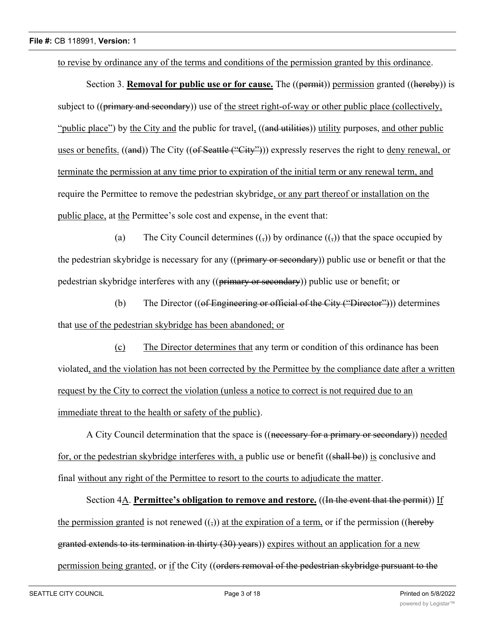to revise by ordinance any of the terms and conditions of the permission granted by this ordinance.

Section 3. **Removal for public use or for cause.** The ((permit)) permission granted ((hereby)) is subject to ((primary and secondary)) use of the street right-of-way or other public place (collectively, "public place") by the City and the public for travel, ((and utilities)) utility purposes, and other public uses or benefits. ((and)) The City ((of Seattle ("City"))) expressly reserves the right to deny renewal, or terminate the permission at any time prior to expiration of the initial term or any renewal term, and require the Permittee to remove the pedestrian skybridge, or any part thereof or installation on the public place, at the Permittee's sole cost and expense, in the event that:

(a) The City Council determines  $($ ,  $)$ ) by ordinance  $($ ,  $)$ ) that the space occupied by the pedestrian skybridge is necessary for any ((primary or secondary)) public use or benefit or that the pedestrian skybridge interferes with any ((primary or secondary)) public use or benefit; or

(b) The Director  $((\text{of Engineering or official of the City ("Director")))$  determines that use of the pedestrian skybridge has been abandoned; or

(c) The Director determines that any term or condition of this ordinance has been violated, and the violation has not been corrected by the Permittee by the compliance date after a written request by the City to correct the violation (unless a notice to correct is not required due to an immediate threat to the health or safety of the public).

A City Council determination that the space is ((necessary for a primary or secondary)) needed for, or the pedestrian skybridge interferes with, a public use or benefit ((shall be)) is conclusive and final without any right of the Permittee to resort to the courts to adjudicate the matter.

Section 4A. **Permittee's obligation to remove and restore.** ((In the event that the permit)) If the permission granted is not renewed  $(1)$ ) at the expiration of a term, or if the permission ((hereby granted extends to its termination in thirty (30) years)) expires without an application for a new permission being granted, or if the City ((orders removal of the pedestrian skybridge pursuant to the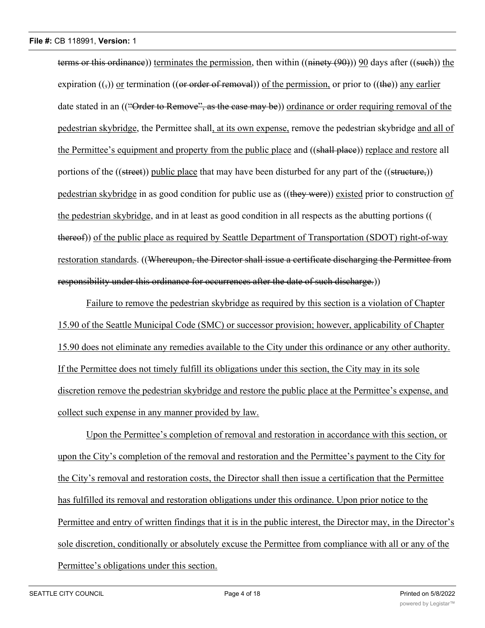terms or this ordinance)) terminates the permission, then within ((ninety (90))) 90 days after ((such)) the expiration  $((\cdot))$  or termination ((or order of removal)) of the permission, or prior to ((the)) any earlier date stated in an (("Order to Remove", as the case may be)) ordinance or order requiring removal of the pedestrian skybridge, the Permittee shall, at its own expense, remove the pedestrian skybridge and all of the Permittee's equipment and property from the public place and ((shall place)) replace and restore all portions of the ((street)) public place that may have been disturbed for any part of the ((structure,)) pedestrian skybridge in as good condition for public use as ((they were)) existed prior to construction of the pedestrian skybridge, and in at least as good condition in all respects as the abutting portions (( thereof)) of the public place as required by Seattle Department of Transportation (SDOT) right-of-way restoration standards. ((Whereupon, the Director shall issue a certificate discharging the Permittee from responsibility under this ordinance for occurrences after the date of such discharge.))

Failure to remove the pedestrian skybridge as required by this section is a violation of Chapter 15.90 of the Seattle Municipal Code (SMC) or successor provision; however, applicability of Chapter 15.90 does not eliminate any remedies available to the City under this ordinance or any other authority. If the Permittee does not timely fulfill its obligations under this section, the City may in its sole discretion remove the pedestrian skybridge and restore the public place at the Permittee's expense, and collect such expense in any manner provided by law.

Upon the Permittee's completion of removal and restoration in accordance with this section, or upon the City's completion of the removal and restoration and the Permittee's payment to the City for the City's removal and restoration costs, the Director shall then issue a certification that the Permittee has fulfilled its removal and restoration obligations under this ordinance. Upon prior notice to the Permittee and entry of written findings that it is in the public interest, the Director may, in the Director's sole discretion, conditionally or absolutely excuse the Permittee from compliance with all or any of the Permittee's obligations under this section.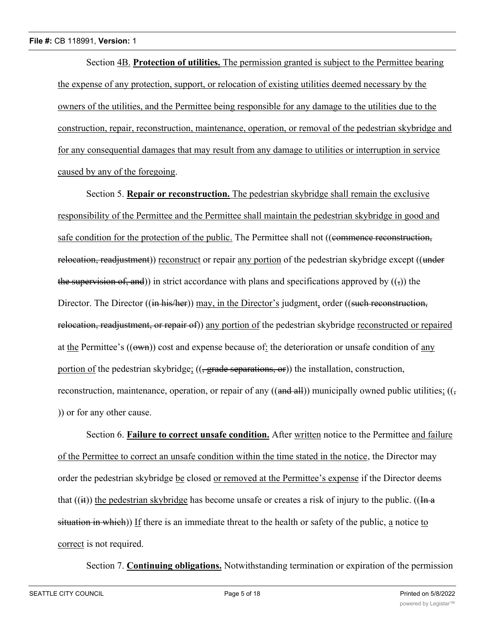Section 4B. **Protection of utilities.** The permission granted is subject to the Permittee bearing the expense of any protection, support, or relocation of existing utilities deemed necessary by the owners of the utilities, and the Permittee being responsible for any damage to the utilities due to the construction, repair, reconstruction, maintenance, operation, or removal of the pedestrian skybridge and for any consequential damages that may result from any damage to utilities or interruption in service caused by any of the foregoing.

Section 5. **Repair or reconstruction.** The pedestrian skybridge shall remain the exclusive responsibility of the Permittee and the Permittee shall maintain the pedestrian skybridge in good and safe condition for the protection of the public. The Permittee shall not ((commence reconstruction, relocation, readjustment)) reconstruct or repair any portion of the pedestrian skybridge except ((under the supervision of, and)) in strict accordance with plans and specifications approved by  $((\tau))$  the Director. The Director ((in his/her)) may, in the Director's judgment, order ((such reconstruction, relocation, readjustment, or repair of)) any portion of the pedestrian skybridge reconstructed or repaired at the Permittee's  $((\omega w_n))$  cost and expense because of: the deterioration or unsafe condition of any portion of the pedestrian skybridge;  $((, grade \)$ grade separations, or)) the installation, construction, reconstruction, maintenance, operation, or repair of any ((and all)) municipally owned public utilities;  $((\frac{1}{2})$ )) or for any other cause.

Section 6. **Failure to correct unsafe condition.** After written notice to the Permittee and failure of the Permittee to correct an unsafe condition within the time stated in the notice, the Director may order the pedestrian skybridge be closed or removed at the Permittee's expense if the Director deems that  $((ii))$  the pedestrian skybridge has become unsafe or creates a risk of injury to the public. ((In a situation in which)) If there is an immediate threat to the health or safety of the public, a notice to correct is not required.

Section 7. **Continuing obligations.** Notwithstanding termination or expiration of the permission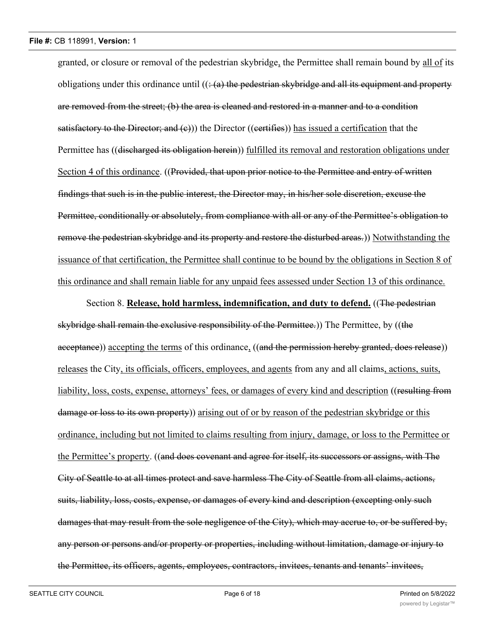granted, or closure or removal of the pedestrian skybridge, the Permittee shall remain bound by all of its obligations under this ordinance until  $((\div(a)$  the pedestrian skybridge and all its equipment and property are removed from the street; (b) the area is cleaned and restored in a manner and to a condition satisfactory to the Director; and  $(e)$ ) the Director ((certifies)) has issued a certification that the Permittee has ((discharged its obligation herein)) fulfilled its removal and restoration obligations under Section 4 of this ordinance. ((Provided, that upon prior notice to the Permittee and entry of written findings that such is in the public interest, the Director may, in his/her sole discretion, excuse the Permittee, conditionally or absolutely, from compliance with all or any of the Permittee's obligation to remove the pedestrian skybridge and its property and restore the disturbed areas.)) Notwithstanding the issuance of that certification, the Permittee shall continue to be bound by the obligations in Section 8 of this ordinance and shall remain liable for any unpaid fees assessed under Section 13 of this ordinance.

Section 8. **Release, hold harmless, indemnification, and duty to defend.** ((The pedestrian skybridge shall remain the exclusive responsibility of the Permittee.)) The Permittee, by ((the acceptance)) accepting the terms of this ordinance, ((and the permission hereby granted, does release)) releases the City, its officials, officers, employees, and agents from any and all claims, actions, suits, liability, loss, costs, expense, attorneys' fees, or damages of every kind and description ((resulting from damage or loss to its own property) arising out of or by reason of the pedestrian skybridge or this ordinance, including but not limited to claims resulting from injury, damage, or loss to the Permittee or the Permittee's property. ((and does covenant and agree for itself, its successors or assigns, with The City of Seattle to at all times protect and save harmless The City of Seattle from all claims, actions, suits, liability, loss, costs, expense, or damages of every kind and description (excepting only such damages that may result from the sole negligence of the City), which may accrue to, or be suffered by, any person or persons and/or property or properties, including without limitation, damage or injury to the Permittee, its officers, agents, employees, contractors, invitees, tenants and tenants' invitees,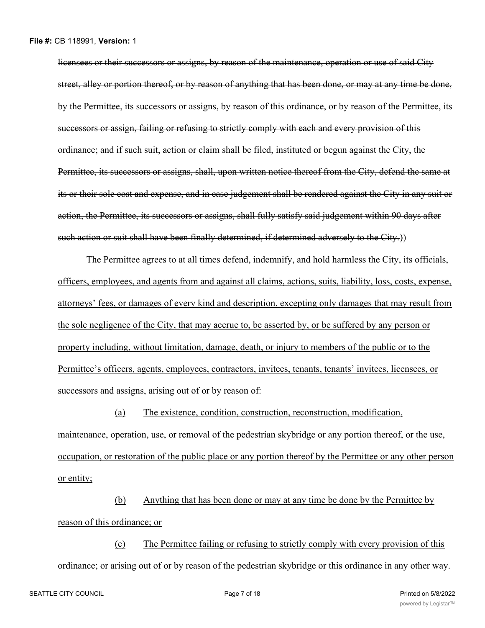licensees or their successors or assigns, by reason of the maintenance, operation or use of said City street, alley or portion thereof, or by reason of anything that has been done, or may at any time be done, by the Permittee, its successors or assigns, by reason of this ordinance, or by reason of the Permittee, its successors or assign, failing or refusing to strictly comply with each and every provision of this ordinance; and if such suit, action or claim shall be filed, instituted or begun against the City, the Permittee, its successors or assigns, shall, upon written notice thereof from the City, defend the same at its or their sole cost and expense, and in case judgement shall be rendered against the City in any suit or action, the Permittee, its successors or assigns, shall fully satisfy said judgement within 90 days after such action or suit shall have been finally determined, if determined adversely to the City.))

The Permittee agrees to at all times defend, indemnify, and hold harmless the City, its officials, officers, employees, and agents from and against all claims, actions, suits, liability, loss, costs, expense, attorneys' fees, or damages of every kind and description, excepting only damages that may result from the sole negligence of the City, that may accrue to, be asserted by, or be suffered by any person or property including, without limitation, damage, death, or injury to members of the public or to the Permittee's officers, agents, employees, contractors, invitees, tenants, tenants' invitees, licensees, or successors and assigns, arising out of or by reason of:

(a) The existence, condition, construction, reconstruction, modification, maintenance, operation, use, or removal of the pedestrian skybridge or any portion thereof, or the use, occupation, or restoration of the public place or any portion thereof by the Permittee or any other person or entity;

(b) Anything that has been done or may at any time be done by the Permittee by reason of this ordinance; or

(c) The Permittee failing or refusing to strictly comply with every provision of this ordinance; or arising out of or by reason of the pedestrian skybridge or this ordinance in any other way.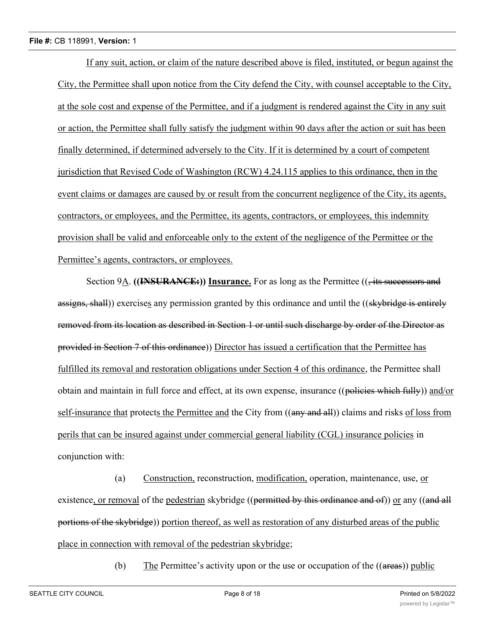#### **File #:** CB 118991, **Version:** 1

If any suit, action, or claim of the nature described above is filed, instituted, or begun against the City, the Permittee shall upon notice from the City defend the City, with counsel acceptable to the City, at the sole cost and expense of the Permittee, and if a judgment is rendered against the City in any suit or action, the Permittee shall fully satisfy the judgment within 90 days after the action or suit has been finally determined, if determined adversely to the City. If it is determined by a court of competent jurisdiction that Revised Code of Washington (RCW) 4.24.115 applies to this ordinance, then in the event claims or damages are caused by or result from the concurrent negligence of the City, its agents, contractors, or employees, and the Permittee, its agents, contractors, or employees, this indemnity provision shall be valid and enforceable only to the extent of the negligence of the Permittee or the Permittee's agents, contractors, or employees.

Section 9A. **((INSURANCE:))** Insurance. For as long as the Permittee ((, its successors and assigns, shall)) exercises any permission granted by this ordinance and until the ((skybridge is entirely removed from its location as described in Section 1 or until such discharge by order of the Director as provided in Section 7 of this ordinance)) Director has issued a certification that the Permittee has fulfilled its removal and restoration obligations under Section 4 of this ordinance, the Permittee shall obtain and maintain in full force and effect, at its own expense, insurance ((policies which fully)) and/or self-insurance that protects the Permittee and the City from ((any and all)) claims and risks of loss from perils that can be insured against under commercial general liability (CGL) insurance policies in conjunction with:

(a) Construction, reconstruction, modification, operation, maintenance, use, or existence, or removal of the pedestrian skybridge ((permitted by this ordinance and of)) or any ((and all portions of the skybridge)) portion thereof, as well as restoration of any disturbed areas of the public place in connection with removal of the pedestrian skybridge;

(b) The Permittee's activity upon or the use or occupation of the  $((\text{areas}))$  public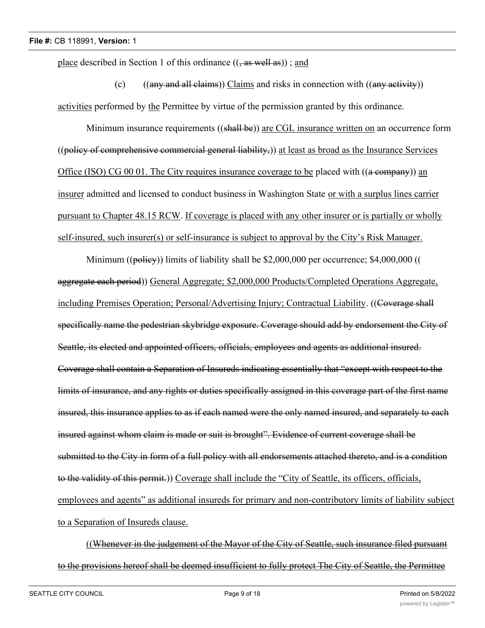place described in Section 1 of this ordinance  $((, as well as))$ ; and

(c)  $((any and all claims))$  Claims and risks in connection with  $((any activity))$ activities performed by the Permittee by virtue of the permission granted by this ordinance.

Minimum insurance requirements ((shall be)) are CGL insurance written on an occurrence form ((policy of comprehensive commercial general liability,)) at least as broad as the Insurance Services Office (ISO) CG 00 01. The City requires insurance coverage to be placed with ((a company)) an insurer admitted and licensed to conduct business in Washington State or with a surplus lines carrier pursuant to Chapter 48.15 RCW. If coverage is placed with any other insurer or is partially or wholly self-insured, such insurer(s) or self-insurance is subject to approval by the City's Risk Manager.

Minimum ((policy)) limits of liability shall be \$2,000,000 per occurrence; \$4,000,000 (( aggregate each period)) General Aggregate; \$2,000,000 Products/Completed Operations Aggregate, including Premises Operation; Personal/Advertising Injury; Contractual Liability. ((Coverage shall specifically name the pedestrian skybridge exposure. Coverage should add by endorsement the City of Seattle, its elected and appointed officers, officials, employees and agents as additional insured. Coverage shall contain a Separation of Insureds indicating essentially that "except with respect to the limits of insurance, and any rights or duties specifically assigned in this coverage part of the first name insured, this insurance applies to as if each named were the only named insured, and separately to each insured against whom claim is made or suit is brought". Evidence of current coverage shall be submitted to the City in form of a full policy with all endorsements attached thereto, and is a condition to the validity of this permit.)) Coverage shall include the "City of Seattle, its officers, officials, employees and agents" as additional insureds for primary and non-contributory limits of liability subject to a Separation of Insureds clause.

((Whenever in the judgement of the Mayor of the City of Seattle, such insurance filed pursuant to the provisions hereof shall be deemed insufficient to fully protect The City of Seattle, the Permittee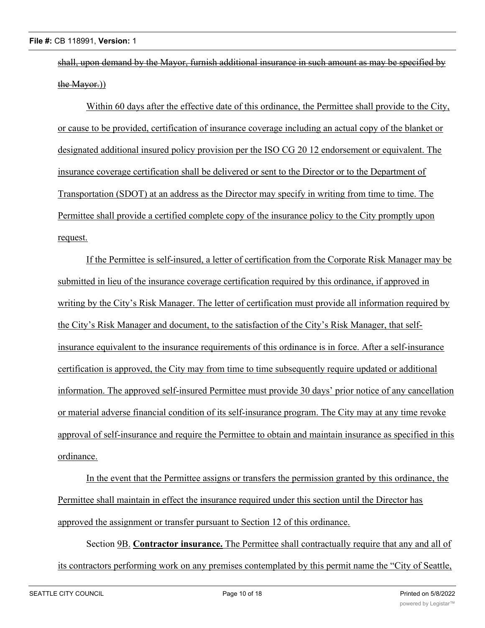shall, upon demand by the Mayor, furnish additional insurance in such amount as may be specified by the Mayor.))

Within 60 days after the effective date of this ordinance, the Permittee shall provide to the City, or cause to be provided, certification of insurance coverage including an actual copy of the blanket or designated additional insured policy provision per the ISO CG 20 12 endorsement or equivalent. The insurance coverage certification shall be delivered or sent to the Director or to the Department of Transportation (SDOT) at an address as the Director may specify in writing from time to time. The Permittee shall provide a certified complete copy of the insurance policy to the City promptly upon request.

If the Permittee is self-insured, a letter of certification from the Corporate Risk Manager may be submitted in lieu of the insurance coverage certification required by this ordinance, if approved in writing by the City's Risk Manager. The letter of certification must provide all information required by the City's Risk Manager and document, to the satisfaction of the City's Risk Manager, that selfinsurance equivalent to the insurance requirements of this ordinance is in force. After a self-insurance certification is approved, the City may from time to time subsequently require updated or additional information. The approved self-insured Permittee must provide 30 days' prior notice of any cancellation or material adverse financial condition of its self-insurance program. The City may at any time revoke approval of self-insurance and require the Permittee to obtain and maintain insurance as specified in this ordinance.

In the event that the Permittee assigns or transfers the permission granted by this ordinance, the Permittee shall maintain in effect the insurance required under this section until the Director has approved the assignment or transfer pursuant to Section 12 of this ordinance.

Section 9B. **Contractor insurance.** The Permittee shall contractually require that any and all of its contractors performing work on any premises contemplated by this permit name the "City of Seattle,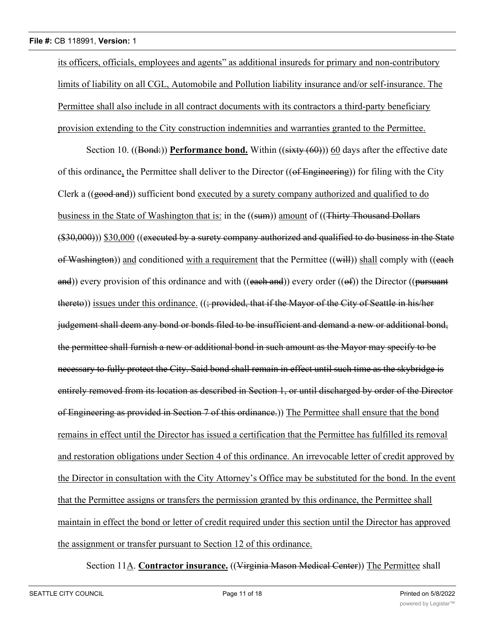its officers, officials, employees and agents" as additional insureds for primary and non-contributory limits of liability on all CGL, Automobile and Pollution liability insurance and/or self-insurance. The Permittee shall also include in all contract documents with its contractors a third-party beneficiary provision extending to the City construction indemnities and warranties granted to the Permittee.

Section 10. ((Bond:)) **Performance bond.** Within ((sixty (60))) 60 days after the effective date of this ordinance, the Permittee shall deliver to the Director ((of Engineering)) for filing with the City Clerk a ((good and)) sufficient bond executed by a surety company authorized and qualified to do business in the State of Washington that is: in the ((sum)) amount of ((Thirty Thousand Dollars (\$30,000))) \$30,000 ((executed by a surety company authorized and qualified to do business in the State of Washington)) and conditioned with a requirement that the Permittee ((will)) shall comply with ((each and)) every provision of this ordinance and with ((each and)) every order (( $\Theta$ f)) the Director (( $\rho$ ursuant thereto)) issues under this ordinance. ((; provided, that if the Mayor of the City of Seattle in his/her judgement shall deem any bond or bonds filed to be insufficient and demand a new or additional bond, the permittee shall furnish a new or additional bond in such amount as the Mayor may specify to be necessary to fully protect the City. Said bond shall remain in effect until such time as the skybridge is entirely removed from its location as described in Section 1, or until discharged by order of the Director of Engineering as provided in Section 7 of this ordinance.)) The Permittee shall ensure that the bond remains in effect until the Director has issued a certification that the Permittee has fulfilled its removal and restoration obligations under Section 4 of this ordinance. An irrevocable letter of credit approved by the Director in consultation with the City Attorney's Office may be substituted for the bond. In the event that the Permittee assigns or transfers the permission granted by this ordinance, the Permittee shall maintain in effect the bond or letter of credit required under this section until the Director has approved the assignment or transfer pursuant to Section 12 of this ordinance.

Section 11A. **Contractor insurance.** ((Virginia Mason Medical Center)) The Permittee shall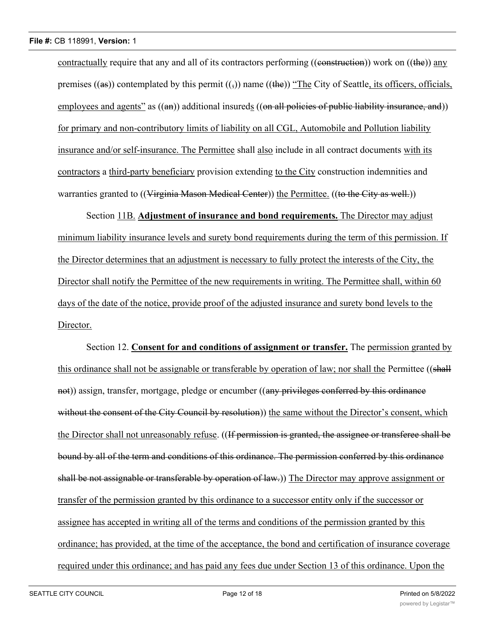contractually require that any and all of its contractors performing (( $\epsilon$ ) construction)) work on (( $\epsilon$ )) any premises  $((as))$  contemplated by this permit  $((\tau))$  name  $((the))$  "The City of Seattle, its officers, officials, employees and agents" as  $((an))$  additional insureds  $((on all policies of public liability insurance, and))$ for primary and non-contributory limits of liability on all CGL, Automobile and Pollution liability insurance and/or self-insurance. The Permittee shall also include in all contract documents with its contractors a third-party beneficiary provision extending to the City construction indemnities and warranties granted to ((Virginia Mason Medical Center)) the Permittee. ((to the City as well.))

Section 11B. **Adjustment of insurance and bond requirements.** The Director may adjust minimum liability insurance levels and surety bond requirements during the term of this permission. If the Director determines that an adjustment is necessary to fully protect the interests of the City, the Director shall notify the Permittee of the new requirements in writing. The Permittee shall, within 60 days of the date of the notice, provide proof of the adjusted insurance and surety bond levels to the Director.

Section 12. **Consent for and conditions of assignment or transfer.** The permission granted by this ordinance shall not be assignable or transferable by operation of law; nor shall the Permittee ((shall not)) assign, transfer, mortgage, pledge or encumber ((any privileges conferred by this ordinance without the consent of the City Council by resolution) the same without the Director's consent, which the Director shall not unreasonably refuse. ((If permission is granted, the assignee or transferee shall be bound by all of the term and conditions of this ordinance. The permission conferred by this ordinance shall be not assignable or transferable by operation of law.)) The Director may approve assignment or transfer of the permission granted by this ordinance to a successor entity only if the successor or assignee has accepted in writing all of the terms and conditions of the permission granted by this ordinance; has provided, at the time of the acceptance, the bond and certification of insurance coverage required under this ordinance; and has paid any fees due under Section 13 of this ordinance. Upon the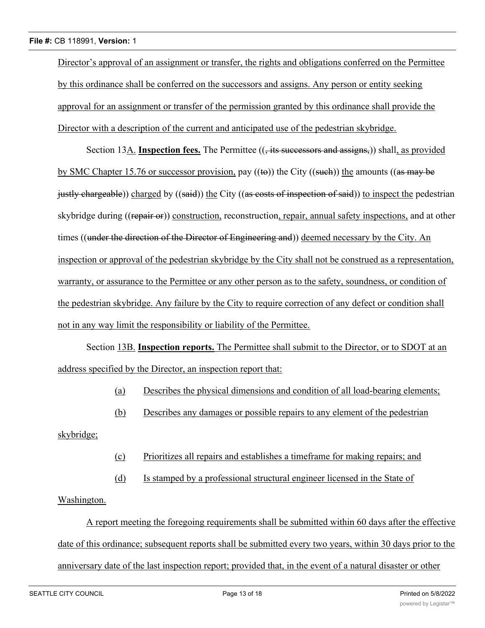Director's approval of an assignment or transfer, the rights and obligations conferred on the Permittee by this ordinance shall be conferred on the successors and assigns. Any person or entity seeking approval for an assignment or transfer of the permission granted by this ordinance shall provide the Director with a description of the current and anticipated use of the pedestrian skybridge.

Section 13A. **Inspection fees.** The Permittee ((, its successors and assigns,)) shall, as provided by SMC Chapter 15.76 or successor provision, pay  $((\omega))$  the City  $((\text{such}))$  the amounts  $((\text{as may be})$ justly chargeable)) charged by ((said)) the City ((as costs of inspection of said)) to inspect the pedestrian skybridge during ((repair or)) construction, reconstruction, repair, annual safety inspections, and at other times ((under the direction of the Director of Engineering and)) deemed necessary by the City. An inspection or approval of the pedestrian skybridge by the City shall not be construed as a representation, warranty, or assurance to the Permittee or any other person as to the safety, soundness, or condition of the pedestrian skybridge. Any failure by the City to require correction of any defect or condition shall not in any way limit the responsibility or liability of the Permittee.

Section 13B. **Inspection reports.** The Permittee shall submit to the Director, or to SDOT at an address specified by the Director, an inspection report that:

- (a) Describes the physical dimensions and condition of all load-bearing elements;
- (b) Describes any damages or possible repairs to any element of the pedestrian

skybridge;

- (c) Prioritizes all repairs and establishes a timeframe for making repairs; and
- (d) Is stamped by a professional structural engineer licensed in the State of

Washington.

A report meeting the foregoing requirements shall be submitted within 60 days after the effective date of this ordinance; subsequent reports shall be submitted every two years, within 30 days prior to the anniversary date of the last inspection report; provided that, in the event of a natural disaster or other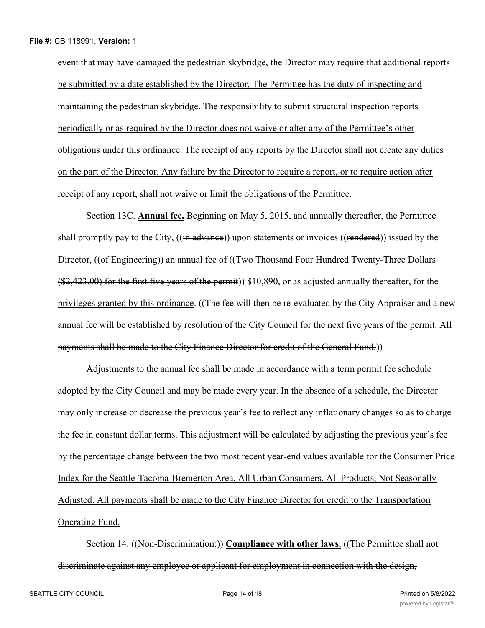event that may have damaged the pedestrian skybridge, the Director may require that additional reports be submitted by a date established by the Director. The Permittee has the duty of inspecting and maintaining the pedestrian skybridge. The responsibility to submit structural inspection reports periodically or as required by the Director does not waive or alter any of the Permittee's other obligations under this ordinance. The receipt of any reports by the Director shall not create any duties on the part of the Director. Any failure by the Director to require a report, or to require action after receipt of any report, shall not waive or limit the obligations of the Permittee.

Section 13C. **Annual fee.** Beginning on May 5, 2015, and annually thereafter, the Permittee shall promptly pay to the City, ((in advance)) upon statements or invoices ((rendered)) issued by the Director, ((of Engineering)) an annual fee of ((Two Thousand Four Hundred Twenty-Three Dollars (\$2,423.00) for the first five years of the permit)) \$10,890, or as adjusted annually thereafter, for the privileges granted by this ordinance. ((The fee will then be re-evaluated by the City Appraiser and a new annual fee will be established by resolution of the City Council for the next five years of the permit. All payments shall be made to the City Finance Director for credit of the General Fund.))

Adjustments to the annual fee shall be made in accordance with a term permit fee schedule adopted by the City Council and may be made every year. In the absence of a schedule, the Director may only increase or decrease the previous year's fee to reflect any inflationary changes so as to charge the fee in constant dollar terms. This adjustment will be calculated by adjusting the previous year's fee by the percentage change between the two most recent year-end values available for the Consumer Price Index for the Seattle-Tacoma-Bremerton Area, All Urban Consumers, All Products, Not Seasonally Adjusted. All payments shall be made to the City Finance Director for credit to the Transportation Operating Fund.

Section 14. ((Non-Discrimination:)) **Compliance with other laws.** ((The Permittee shall not discriminate against any employee or applicant for employment in connection with the design,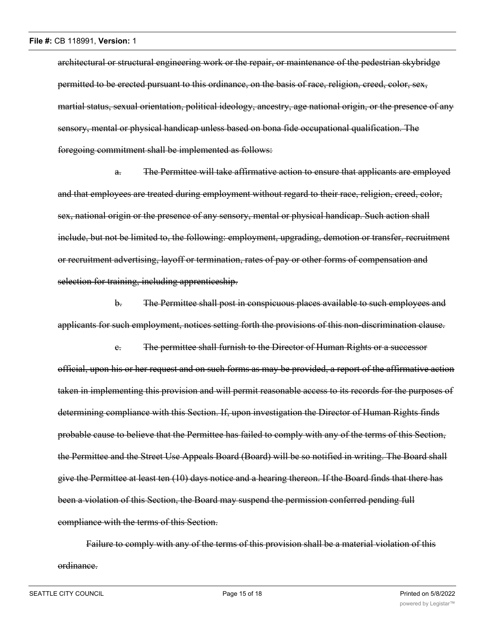architectural or structural engineering work or the repair, or maintenance of the pedestrian skybridge permitted to be erected pursuant to this ordinance, on the basis of race, religion, creed, color, sex, martial status, sexual orientation, political ideology, ancestry, age national origin, or the presence of any sensory, mental or physical handicap unless based on bona fide occupational qualification. The foregoing commitment shall be implemented as follows:

a. The Permittee will take affirmative action to ensure that applicants are employed and that employees are treated during employment without regard to their race, religion, creed, color, sex, national origin or the presence of any sensory, mental or physical handicap. Such action shall include, but not be limited to, the following: employment, upgrading, demotion or transfer, recruitment or recruitment advertising, layoff or termination, rates of pay or other forms of compensation and selection for training, including apprenticeship.

b. The Permittee shall post in conspicuous places available to such employees and applicants for such employment, notices setting forth the provisions of this non-discrimination clause.

c. The permittee shall furnish to the Director of Human Rights or a successor official, upon his or her request and on such forms as may be provided, a report of the affirmative action taken in implementing this provision and will permit reasonable access to its records for the purposes of determining compliance with this Section. If, upon investigation the Director of Human Rights finds probable cause to believe that the Permittee has failed to comply with any of the terms of this Section, the Permittee and the Street Use Appeals Board (Board) will be so notified in writing. The Board shall give the Permittee at least ten (10) days notice and a hearing thereon. If the Board finds that there has been a violation of this Section, the Board may suspend the permission conferred pending full compliance with the terms of this Section.

Failure to comply with any of the terms of this provision shall be a material violation of this ordinance.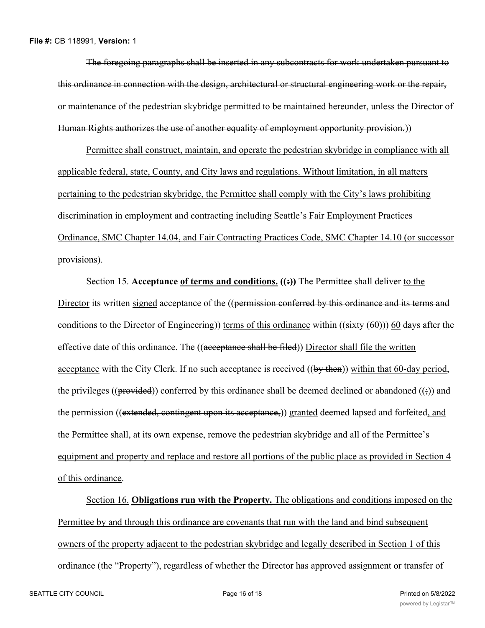The foregoing paragraphs shall be inserted in any subcontracts for work undertaken pursuant to this ordinance in connection with the design, architectural or structural engineering work or the repair, or maintenance of the pedestrian skybridge permitted to be maintained hereunder, unless the Director of Human Rights authorizes the use of another equality of employment opportunity provision.))

Permittee shall construct, maintain, and operate the pedestrian skybridge in compliance with all applicable federal, state, County, and City laws and regulations. Without limitation, in all matters pertaining to the pedestrian skybridge, the Permittee shall comply with the City's laws prohibiting discrimination in employment and contracting including Seattle's Fair Employment Practices Ordinance, SMC Chapter 14.04, and Fair Contracting Practices Code, SMC Chapter 14.10 (or successor provisions).

Section 15. **Acceptance of terms and conditions.** ((<del>:</del>)) The Permittee shall deliver to the Director its written signed acceptance of the ((permission conferred by this ordinance and its terms and conditions to the Director of Engineering)) terms of this ordinance within  $((s, x, y, \theta))$  60 days after the effective date of this ordinance. The ((acceptance shall be filed)) Director shall file the written acceptance with the City Clerk. If no such acceptance is received ((by then)) within that 60-day period, the privileges (( $\beta$ rovided)) conferred by this ordinance shall be deemed declined or abandoned ( $\beta$ ) and the permission ((extended, contingent upon its acceptance,)) granted deemed lapsed and forfeited, and the Permittee shall, at its own expense, remove the pedestrian skybridge and all of the Permittee's equipment and property and replace and restore all portions of the public place as provided in Section 4 of this ordinance.

Section 16. **Obligations run with the Property.** The obligations and conditions imposed on the Permittee by and through this ordinance are covenants that run with the land and bind subsequent owners of the property adjacent to the pedestrian skybridge and legally described in Section 1 of this ordinance (the "Property"), regardless of whether the Director has approved assignment or transfer of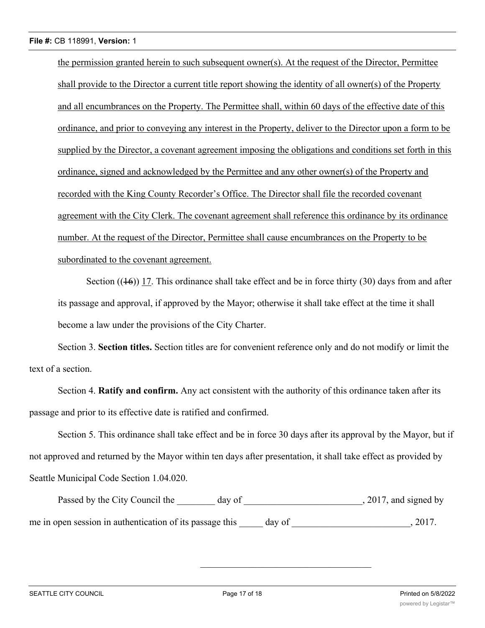the permission granted herein to such subsequent owner(s). At the request of the Director, Permittee shall provide to the Director a current title report showing the identity of all owner(s) of the Property and all encumbrances on the Property. The Permittee shall, within 60 days of the effective date of this ordinance, and prior to conveying any interest in the Property, deliver to the Director upon a form to be supplied by the Director, a covenant agreement imposing the obligations and conditions set forth in this ordinance, signed and acknowledged by the Permittee and any other owner(s) of the Property and recorded with the King County Recorder's Office. The Director shall file the recorded covenant agreement with the City Clerk. The covenant agreement shall reference this ordinance by its ordinance number. At the request of the Director, Permittee shall cause encumbrances on the Property to be subordinated to the covenant agreement.

Section  $((16))$  17. This ordinance shall take effect and be in force thirty (30) days from and after its passage and approval, if approved by the Mayor; otherwise it shall take effect at the time it shall become a law under the provisions of the City Charter.

Section 3. **Section titles.** Section titles are for convenient reference only and do not modify or limit the text of a section.

Section 4. **Ratify and confirm.** Any act consistent with the authority of this ordinance taken after its passage and prior to its effective date is ratified and confirmed.

Section 5. This ordinance shall take effect and be in force 30 days after its approval by the Mayor, but if not approved and returned by the Mayor within ten days after presentation, it shall take effect as provided by Seattle Municipal Code Section 1.04.020.

Passed by the City Council the \_\_\_\_\_\_ day of \_\_\_\_\_\_\_\_\_\_\_\_\_\_\_\_\_\_\_\_\_\_\_\_, 2017, and signed by me in open session in authentication of its passage this \_\_\_\_\_ day of \_\_\_\_\_\_\_\_\_\_\_\_\_\_\_\_\_\_\_\_\_\_\_\_\_, 2017.